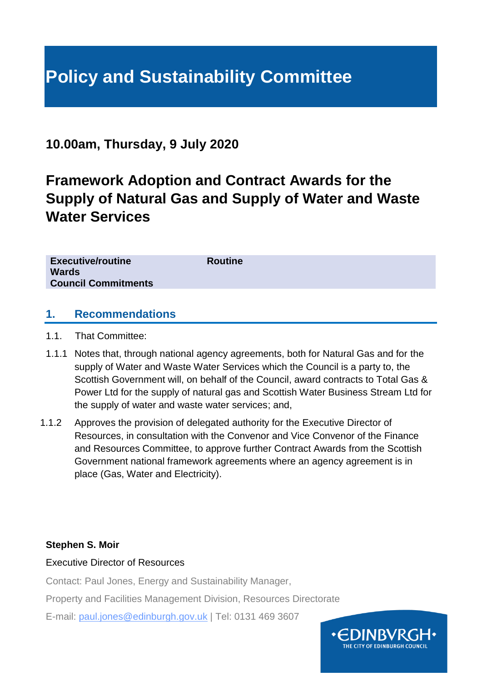# **Policy and Sustainability Committee**

# **10.00am, Thursday, 9 July 2020**

# **Framework Adoption and Contract Awards for the Supply of Natural Gas and Supply of Water and Waste Water Services**

| <b>Executive/routine</b>   | <b>Routine</b> |
|----------------------------|----------------|
|                            |                |
| <b>Wards</b>               |                |
|                            |                |
| <b>Council Commitments</b> |                |
|                            |                |
|                            |                |

#### **1. Recommendations**

- 1.1. That Committee:
- 1.1.1 Notes that, through national agency agreements, both for Natural Gas and for the supply of Water and Waste Water Services which the Council is a party to, the Scottish Government will, on behalf of the Council, award contracts to Total Gas & Power Ltd for the supply of natural gas and Scottish Water Business Stream Ltd for the supply of water and waste water services; and,
- 1.1.2 Approves the provision of delegated authority for the Executive Director of Resources, in consultation with the Convenor and Vice Convenor of the Finance and Resources Committee, to approve further Contract Awards from the Scottish Government national framework agreements where an agency agreement is in place (Gas, Water and Electricity).

#### **Stephen S. Moir**

#### Executive Director of Resources

Contact: Paul Jones, Energy and Sustainability Manager,

Property and Facilities Management Division, Resources Directorate

E-mail: paul.jones@edinburgh.gov.uk | Tel: 0131 469 3607

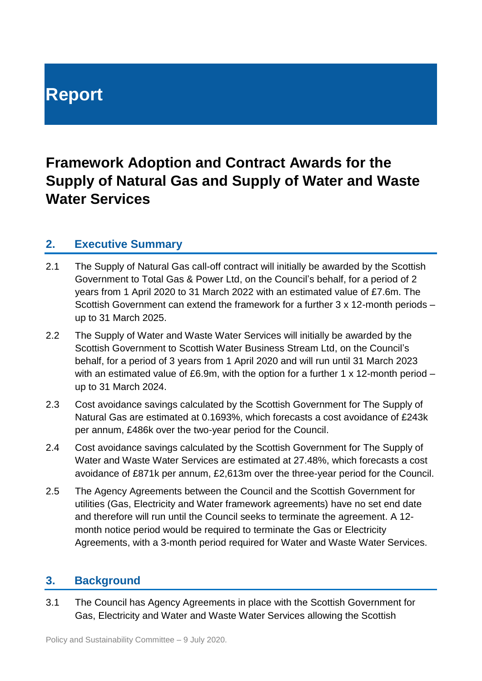# **Report**

# **Framework Adoption and Contract Awards for the Supply of Natural Gas and Supply of Water and Waste Water Services**

### **2. Executive Summary**

- 2.1 The Supply of Natural Gas call-off contract will initially be awarded by the Scottish Government to Total Gas & Power Ltd, on the Council's behalf, for a period of 2 years from 1 April 2020 to 31 March 2022 with an estimated value of £7.6m. The Scottish Government can extend the framework for a further 3 x 12-month periods – up to 31 March 2025.
- 2.2 The Supply of Water and Waste Water Services will initially be awarded by the Scottish Government to Scottish Water Business Stream Ltd, on the Council's behalf, for a period of 3 years from 1 April 2020 and will run until 31 March 2023 with an estimated value of £6.9m, with the option for a further 1 x 12-month period – up to 31 March 2024.
- 2.3 Cost avoidance savings calculated by the Scottish Government for The Supply of Natural Gas are estimated at 0.1693%, which forecasts a cost avoidance of £243k per annum, £486k over the two-year period for the Council.
- 2.4 Cost avoidance savings calculated by the Scottish Government for The Supply of Water and Waste Water Services are estimated at 27.48%, which forecasts a cost avoidance of £871k per annum, £2,613m over the three-year period for the Council.
- 2.5 The Agency Agreements between the Council and the Scottish Government for utilities (Gas, Electricity and Water framework agreements) have no set end date and therefore will run until the Council seeks to terminate the agreement. A 12 month notice period would be required to terminate the Gas or Electricity Agreements, with a 3-month period required for Water and Waste Water Services.

#### **3. Background**

3.1 The Council has Agency Agreements in place with the Scottish Government for Gas, Electricity and Water and Waste Water Services allowing the Scottish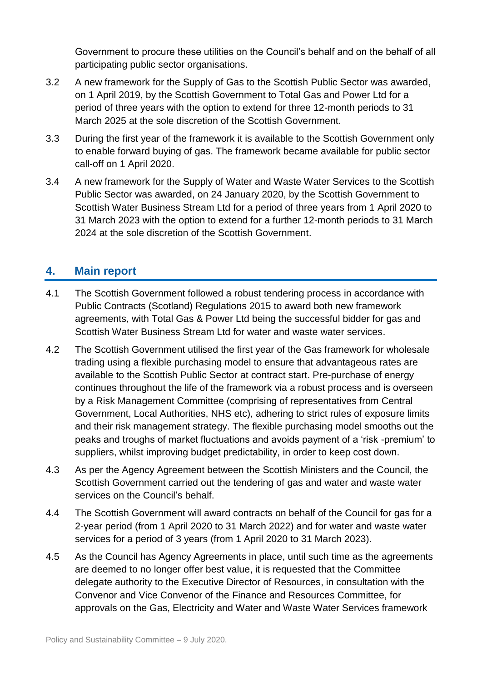Government to procure these utilities on the Council's behalf and on the behalf of all participating public sector organisations.

- 3.2 A new framework for the Supply of Gas to the Scottish Public Sector was awarded, on 1 April 2019, by the Scottish Government to Total Gas and Power Ltd for a period of three years with the option to extend for three 12-month periods to 31 March 2025 at the sole discretion of the Scottish Government.
- 3.3 During the first year of the framework it is available to the Scottish Government only to enable forward buying of gas. The framework became available for public sector call-off on 1 April 2020.
- 3.4 A new framework for the Supply of Water and Waste Water Services to the Scottish Public Sector was awarded, on 24 January 2020, by the Scottish Government to Scottish Water Business Stream Ltd for a period of three years from 1 April 2020 to 31 March 2023 with the option to extend for a further 12-month periods to 31 March 2024 at the sole discretion of the Scottish Government.

## **4. Main report**

- 4.1 The Scottish Government followed a robust tendering process in accordance with Public Contracts (Scotland) Regulations 2015 to award both new framework agreements, with Total Gas & Power Ltd being the successful bidder for gas and Scottish Water Business Stream Ltd for water and waste water services.
- 4.2 The Scottish Government utilised the first year of the Gas framework for wholesale trading using a flexible purchasing model to ensure that advantageous rates are available to the Scottish Public Sector at contract start. Pre-purchase of energy continues throughout the life of the framework via a robust process and is overseen by a Risk Management Committee (comprising of representatives from Central Government, Local Authorities, NHS etc), adhering to strict rules of exposure limits and their risk management strategy. The flexible purchasing model smooths out the peaks and troughs of market fluctuations and avoids payment of a 'risk -premium' to suppliers, whilst improving budget predictability, in order to keep cost down.
- 4.3 As per the Agency Agreement between the Scottish Ministers and the Council, the Scottish Government carried out the tendering of gas and water and waste water services on the Council's behalf.
- 4.4 The Scottish Government will award contracts on behalf of the Council for gas for a 2-year period (from 1 April 2020 to 31 March 2022) and for water and waste water services for a period of 3 years (from 1 April 2020 to 31 March 2023).
- 4.5 As the Council has Agency Agreements in place, until such time as the agreements are deemed to no longer offer best value, it is requested that the Committee delegate authority to the Executive Director of Resources, in consultation with the Convenor and Vice Convenor of the Finance and Resources Committee, for approvals on the Gas, Electricity and Water and Waste Water Services framework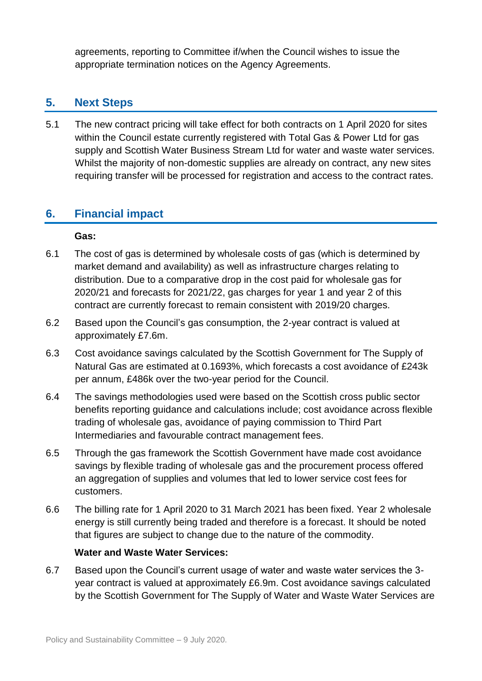agreements, reporting to Committee if/when the Council wishes to issue the appropriate termination notices on the Agency Agreements.

# **5. Next Steps**

5.1 The new contract pricing will take effect for both contracts on 1 April 2020 for sites within the Council estate currently registered with Total Gas & Power Ltd for gas supply and Scottish Water Business Stream Ltd for water and waste water services. Whilst the majority of non-domestic supplies are already on contract, any new sites requiring transfer will be processed for registration and access to the contract rates.

### **6. Financial impact**

#### **Gas:**

- 6.1 The cost of gas is determined by wholesale costs of gas (which is determined by market demand and availability) as well as infrastructure charges relating to distribution. Due to a comparative drop in the cost paid for wholesale gas for 2020/21 and forecasts for 2021/22, gas charges for year 1 and year 2 of this contract are currently forecast to remain consistent with 2019/20 charges.
- 6.2 Based upon the Council's gas consumption, the 2-year contract is valued at approximately £7.6m.
- 6.3 Cost avoidance savings calculated by the Scottish Government for The Supply of Natural Gas are estimated at 0.1693%, which forecasts a cost avoidance of £243k per annum, £486k over the two-year period for the Council.
- 6.4 The savings methodologies used were based on the Scottish cross public sector benefits reporting guidance and calculations include; cost avoidance across flexible trading of wholesale gas, avoidance of paying commission to Third Part Intermediaries and favourable contract management fees.
- 6.5 Through the gas framework the Scottish Government have made cost avoidance savings by flexible trading of wholesale gas and the procurement process offered an aggregation of supplies and volumes that led to lower service cost fees for customers.
- 6.6 The billing rate for 1 April 2020 to 31 March 2021 has been fixed. Year 2 wholesale energy is still currently being traded and therefore is a forecast. It should be noted that figures are subject to change due to the nature of the commodity.

#### **Water and Waste Water Services:**

6.7 Based upon the Council's current usage of water and waste water services the 3 year contract is valued at approximately £6.9m. Cost avoidance savings calculated by the Scottish Government for The Supply of Water and Waste Water Services are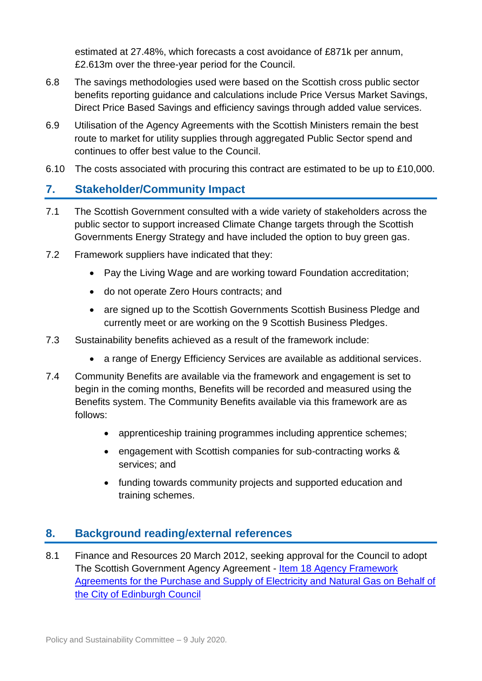estimated at 27.48%, which forecasts a cost avoidance of £871k per annum, £2.613m over the three-year period for the Council.

- 6.8 The savings methodologies used were based on the Scottish cross public sector benefits reporting guidance and calculations include Price Versus Market Savings, Direct Price Based Savings and efficiency savings through added value services.
- 6.9 Utilisation of the Agency Agreements with the Scottish Ministers remain the best route to market for utility supplies through aggregated Public Sector spend and continues to offer best value to the Council.
- 6.10 The costs associated with procuring this contract are estimated to be up to £10,000.

## **7. Stakeholder/Community Impact**

- 7.1 The Scottish Government consulted with a wide variety of stakeholders across the public sector to support increased Climate Change targets through the Scottish Governments Energy Strategy and have included the option to buy green gas.
- 7.2 Framework suppliers have indicated that they:
	- Pay the Living Wage and are working toward Foundation accreditation;
	- do not operate Zero Hours contracts; and
	- are signed up to the Scottish Governments Scottish Business Pledge and currently meet or are working on the 9 Scottish Business Pledges.
- 7.3 Sustainability benefits achieved as a result of the framework include:
	- a range of Energy Efficiency Services are available as additional services.
- 7.4 Community Benefits are available via the framework and engagement is set to begin in the coming months, Benefits will be recorded and measured using the Benefits system. The Community Benefits available via this framework are as follows:
	- apprenticeship training programmes including apprentice schemes;
	- engagement with Scottish companies for sub-contracting works & services; and
	- funding towards community projects and supported education and training schemes.

# **8. Background reading/external references**

8.1 Finance and Resources 20 March 2012, seeking approval for the Council to adopt The Scottish Government Agency Agreement - [Item 18 Agency Framework](https://democracy.edinburgh.gov.uk/CeListDocuments.aspx?CommitteeId=140&MeetingId=2247&DF=20%2f03%2f2012&Ver=2)  [Agreements for the Purchase and Supply of Electricity and Natural Gas on Behalf of](https://democracy.edinburgh.gov.uk/CeListDocuments.aspx?CommitteeId=140&MeetingId=2247&DF=20%2f03%2f2012&Ver=2)  [the City of Edinburgh Council](https://democracy.edinburgh.gov.uk/CeListDocuments.aspx?CommitteeId=140&MeetingId=2247&DF=20%2f03%2f2012&Ver=2)